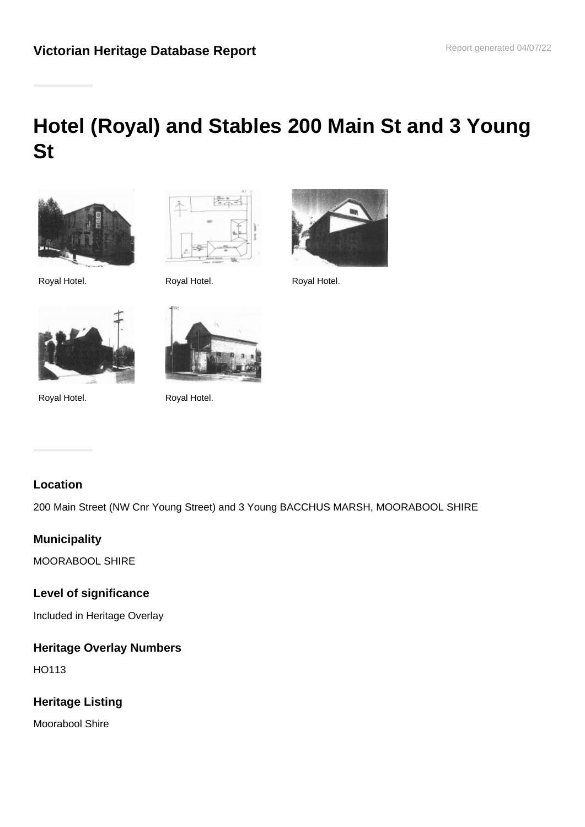# **Hotel (Royal) and Stables 200 Main St and 3 Young St**









Royal Hotel. Royal Hotel.



Fre

# **Location**

200 Main Street (NW Cnr Young Street) and 3 Young BACCHUS MARSH, MOORABOOL SHIRE

# **Municipality**

MOORABOOL SHIRE

#### **Level of significance**

Included in Heritage Overlay

# **Heritage Overlay Numbers**

HO113

# **Heritage Listing**

Moorabool Shire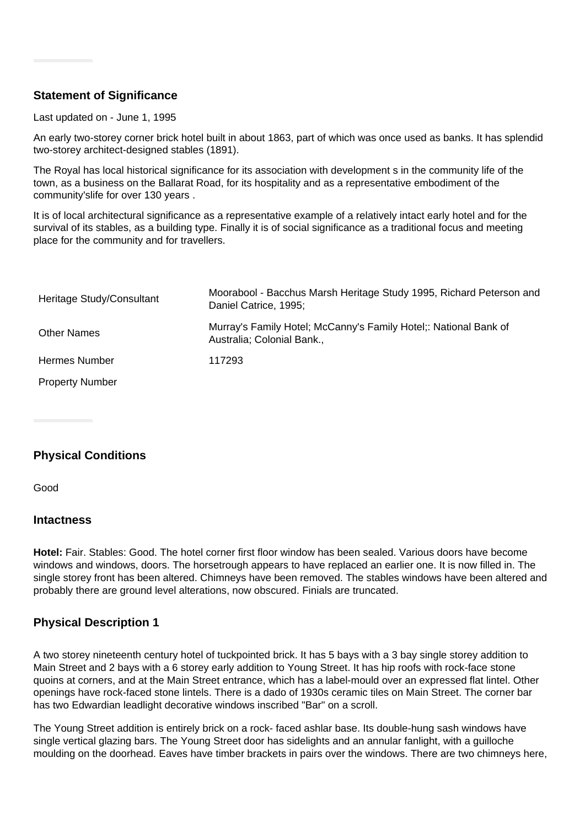# **Statement of Significance**

#### Last updated on - June 1, 1995

An early two-storey corner brick hotel built in about 1863, part of which was once used as banks. It has splendid two-storey architect-designed stables (1891).

The Royal has local historical significance for its association with development s in the community life of the town, as a business on the Ballarat Road, for its hospitality and as a representative embodiment of the community'slife for over 130 years .

It is of local architectural significance as a representative example of a relatively intact early hotel and for the survival of its stables, as a building type. Finally it is of social significance as a traditional focus and meeting place for the community and for travellers.

| Heritage Study/Consultant | Moorabool - Bacchus Marsh Heritage Study 1995, Richard Peterson and<br>Daniel Catrice, 1995;   |
|---------------------------|------------------------------------------------------------------------------------------------|
| <b>Other Names</b>        | Murray's Family Hotel; McCanny's Family Hotel;: National Bank of<br>Australia; Colonial Bank., |
| Hermes Number             | 117293                                                                                         |
| <b>Property Number</b>    |                                                                                                |

# **Physical Conditions**

Good

#### **Intactness**

**Hotel:** Fair. Stables: Good. The hotel corner first floor window has been sealed. Various doors have become windows and windows, doors. The horsetrough appears to have replaced an earlier one. It is now filled in. The single storey front has been altered. Chimneys have been removed. The stables windows have been altered and probably there are ground level alterations, now obscured. Finials are truncated.

#### **Physical Description 1**

A two storey nineteenth century hotel of tuckpointed brick. It has 5 bays with a 3 bay single storey addition to Main Street and 2 bays with a 6 storey early addition to Young Street. It has hip roofs with rock-face stone quoins at corners, and at the Main Street entrance, which has a label-mould over an expressed flat lintel. Other openings have rock-faced stone lintels. There is a dado of 1930s ceramic tiles on Main Street. The corner bar has two Edwardian leadlight decorative windows inscribed "Bar" on a scroll.

The Young Street addition is entirely brick on a rock- faced ashlar base. Its double-hung sash windows have single vertical glazing bars. The Young Street door has sidelights and an annular fanlight, with a guilloche moulding on the doorhead. Eaves have timber brackets in pairs over the windows. There are two chimneys here,